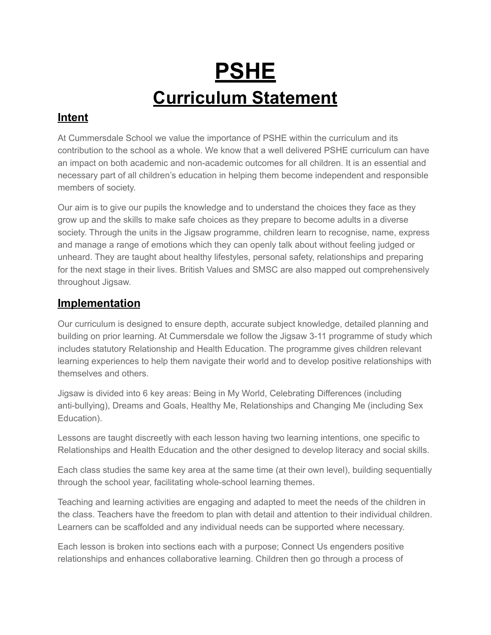# **PSHE Curriculum Statement**

### **Intent**

At Cummersdale School we value the importance of PSHE within the curriculum and its contribution to the school as a whole. We know that a well delivered PSHE curriculum can have an impact on both academic and non-academic outcomes for all children. It is an essential and necessary part of all children's education in helping them become independent and responsible members of society.

Our aim is to give our pupils the knowledge and to understand the choices they face as they grow up and the skills to make safe choices as they prepare to become adults in a diverse society. Through the units in the Jigsaw programme, children learn to recognise, name, express and manage a range of emotions which they can openly talk about without feeling judged or unheard. They are taught about healthy lifestyles, personal safety, relationships and preparing for the next stage in their lives. British Values and SMSC are also mapped out comprehensively throughout Jigsaw.

#### **Implementation**

Our curriculum is designed to ensure depth, accurate subject knowledge, detailed planning and building on prior learning. At Cummersdale we follow the Jigsaw 3-11 programme of study which includes statutory Relationship and Health Education. The programme gives children relevant learning experiences to help them navigate their world and to develop positive relationships with themselves and others.

Jigsaw is divided into 6 key areas: Being in My World, Celebrating Differences (including anti-bullying), Dreams and Goals, Healthy Me, Relationships and Changing Me (including Sex Education).

Lessons are taught discreetly with each lesson having two learning intentions, one specific to Relationships and Health Education and the other designed to develop literacy and social skills.

Each class studies the same key area at the same time (at their own level), building sequentially through the school year, facilitating whole-school learning themes.

Teaching and learning activities are engaging and adapted to meet the needs of the children in the class. Teachers have the freedom to plan with detail and attention to their individual children. Learners can be scaffolded and any individual needs can be supported where necessary.

Each lesson is broken into sections each with a purpose; Connect Us engenders positive relationships and enhances collaborative learning. Children then go through a process of